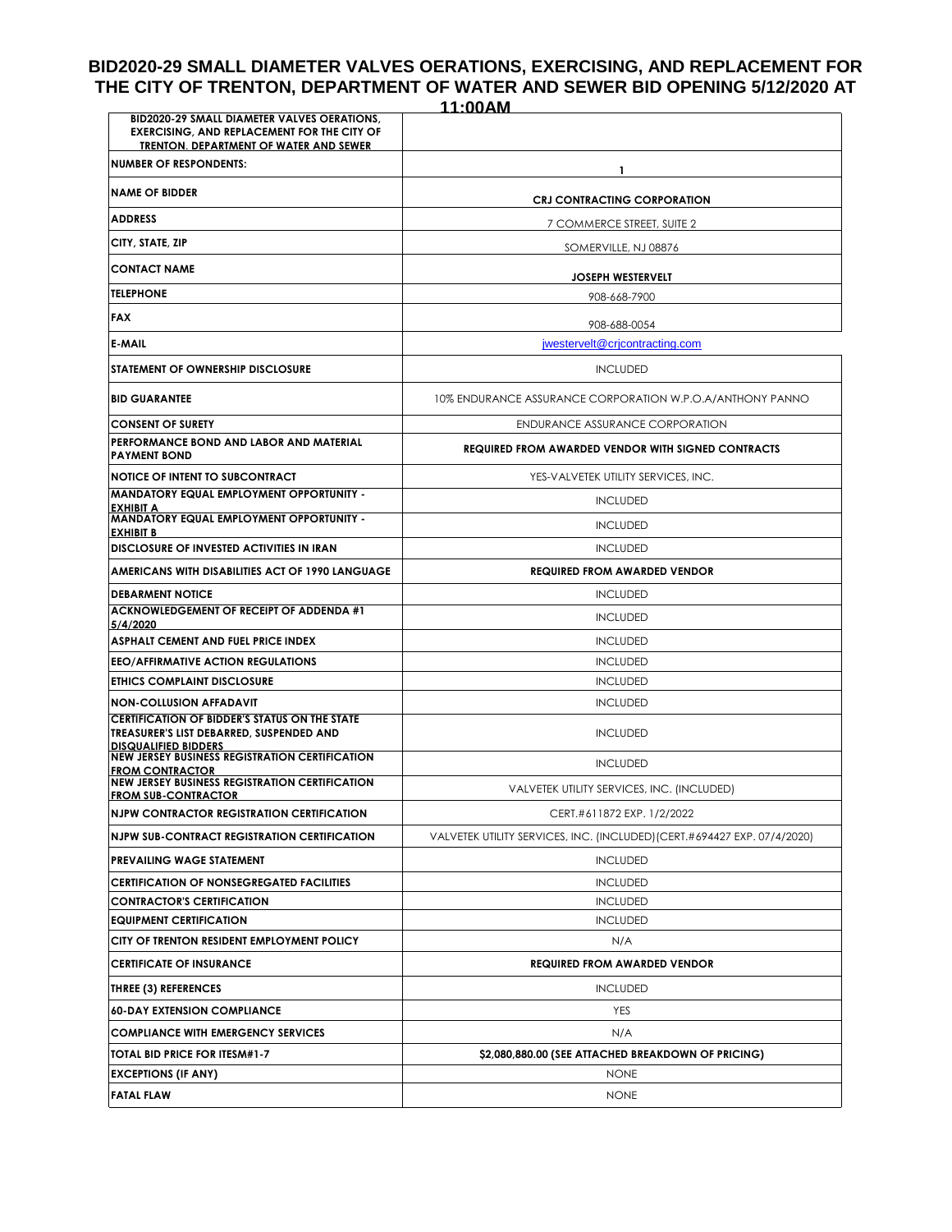# **BID2020-29 SMALL DIAMETER VALVES OERATIONS, EXERCISING, AND REPLACEMENT FOR THE CITY OF TRENTON, DEPARTMENT OF WATER AND SEWER BID OPENING 5/12/2020 AT**

|                                                                                                                                             | 11:00AM                                                                  |
|---------------------------------------------------------------------------------------------------------------------------------------------|--------------------------------------------------------------------------|
| BID2020-29 SMALL DIAMETER VALVES OERATIONS,<br><b>EXERCISING, AND REPLACEMENT FOR THE CITY OF</b><br>TRENTON, DEPARTMENT OF WATER AND SEWER |                                                                          |
| <b>NUMBER OF RESPONDENTS:</b>                                                                                                               | 1.                                                                       |
| <b>NAME OF BIDDER</b>                                                                                                                       | <b>CRJ CONTRACTING CORPORATION</b>                                       |
| <b>ADDRESS</b>                                                                                                                              | 7 COMMERCE STREET, SUITE 2                                               |
| CITY, STATE, ZIP                                                                                                                            | SOMERVILLE, NJ 08876                                                     |
| <b>CONTACT NAME</b>                                                                                                                         | <b>JOSEPH WESTERVELT</b>                                                 |
| <b>TELEPHONE</b>                                                                                                                            | 908-668-7900                                                             |
| <b>FAX</b>                                                                                                                                  | 908-688-0054                                                             |
| <b>E-MAIL</b>                                                                                                                               | jwestervelt@crjcontracting.com                                           |
| <b>STATEMENT OF OWNERSHIP DISCLOSURE</b>                                                                                                    | <b>INCLUDED</b>                                                          |
| <b>BID GUARANTEE</b>                                                                                                                        | 10% ENDURANCE ASSURANCE CORPORATION W.P.O.A/ANTHONY PANNO                |
| <b>CONSENT OF SURETY</b>                                                                                                                    | ENDURANCE ASSURANCE CORPORATION                                          |
| PERFORMANCE BOND AND LABOR AND MATERIAL<br><b>PAYMENT BOND</b>                                                                              | <b>REQUIRED FROM AWARDED VENDOR WITH SIGNED CONTRACTS</b>                |
| <b>NOTICE OF INTENT TO SUBCONTRACT</b>                                                                                                      | YES-VALVETEK UTILITY SERVICES, INC.                                      |
| MANDATORY EQUAL EMPLOYMENT OPPORTUNITY -<br>EXHIBIT A                                                                                       | <b>INCLUDED</b>                                                          |
| <b>MANDATORY EQUAL EMPLOYMENT OPPORTUNITY -</b><br><b>EXHIBIT B</b>                                                                         | <b>INCLUDED</b>                                                          |
| DISCLOSURE OF INVESTED ACTIVITIES IN IRAN                                                                                                   | <b>INCLUDED</b>                                                          |
| AMERICANS WITH DISABILITIES ACT OF 1990 LANGUAGE                                                                                            | <b>REQUIRED FROM AWARDED VENDOR</b>                                      |
| <b>DEBARMENT NOTICE</b>                                                                                                                     | <b>INCLUDED</b>                                                          |
| <b>ACKNOWLEDGEMENT OF RECEIPT OF ADDENDA #1</b><br>5/4/2020                                                                                 | <b>INCLUDED</b>                                                          |
| ASPHALT CEMENT AND FUEL PRICE INDEX                                                                                                         | <b>INCLUDED</b>                                                          |
| <b>EEO/AFFIRMATIVE ACTION REGULATIONS</b>                                                                                                   | <b>INCLUDED</b>                                                          |
| ETHICS COMPLAINT DISCLOSURE                                                                                                                 | <b>INCLUDED</b>                                                          |
| <b>NON-COLLUSION AFFADAVIT</b>                                                                                                              | <b>INCLUDED</b>                                                          |
| <b>CERTIFICATION OF BIDDER'S STATUS ON THE STATE</b><br>TREASURER'S LIST DEBARRED, SUSPENDED AND<br><b>DISQUALIFIED BIDDERS</b>             | <b>INCLUDED</b>                                                          |
| <b>NEW JERSEY BUSINESS REGISTRATION CERTIFICATION</b><br><b>FROM CONTRACTOR</b>                                                             | <b>INCLUDED</b>                                                          |
| <b>NEW JERSEY BUSINESS REGISTRATION CERTIFICATION</b><br><b>FROM SUB-CONTRACTOR</b>                                                         | VALVETEK UTILITY SERVICES, INC. (INCLUDED)                               |
| <b>NJPW CONTRACTOR REGISTRATION CERTIFICATION</b>                                                                                           | CERT.#611872 EXP. 1/2/2022                                               |
| NJPW SUB-CONTRACT REGISTRATION CERTIFICATION                                                                                                | VALVETEK UTILITY SERVICES, INC. (INCLUDED) (CERT.#694427 EXP. 07/4/2020) |
| <b>PREVAILING WAGE STATEMENT</b>                                                                                                            | <b>INCLUDED</b>                                                          |
| <b>CERTIFICATION OF NONSEGREGATED FACILITIES</b>                                                                                            | <b>INCLUDED</b>                                                          |
| <b>CONTRACTOR'S CERTIFICATION</b>                                                                                                           | <b>INCLUDED</b>                                                          |
| <b>EQUIPMENT CERTIFICATION</b>                                                                                                              | <b>INCLUDED</b>                                                          |
| CITY OF TRENTON RESIDENT EMPLOYMENT POLICY                                                                                                  | N/A                                                                      |
| <b>CERTIFICATE OF INSURANCE</b>                                                                                                             | <b>REQUIRED FROM AWARDED VENDOR</b>                                      |
| THREE (3) REFERENCES                                                                                                                        | <b>INCLUDED</b>                                                          |
| <b>60-DAY EXTENSION COMPLIANCE</b>                                                                                                          | YES                                                                      |
| <b>COMPLIANCE WITH EMERGENCY SERVICES</b>                                                                                                   | N/A                                                                      |
| TOTAL BID PRICE FOR ITESM#1-7                                                                                                               | \$2,080,880.00 (SEE ATTACHED BREAKDOWN OF PRICING)                       |
| <b>EXCEPTIONS (IF ANY)</b>                                                                                                                  | <b>NONE</b>                                                              |
| <b>FATAL FLAW</b>                                                                                                                           | <b>NONE</b>                                                              |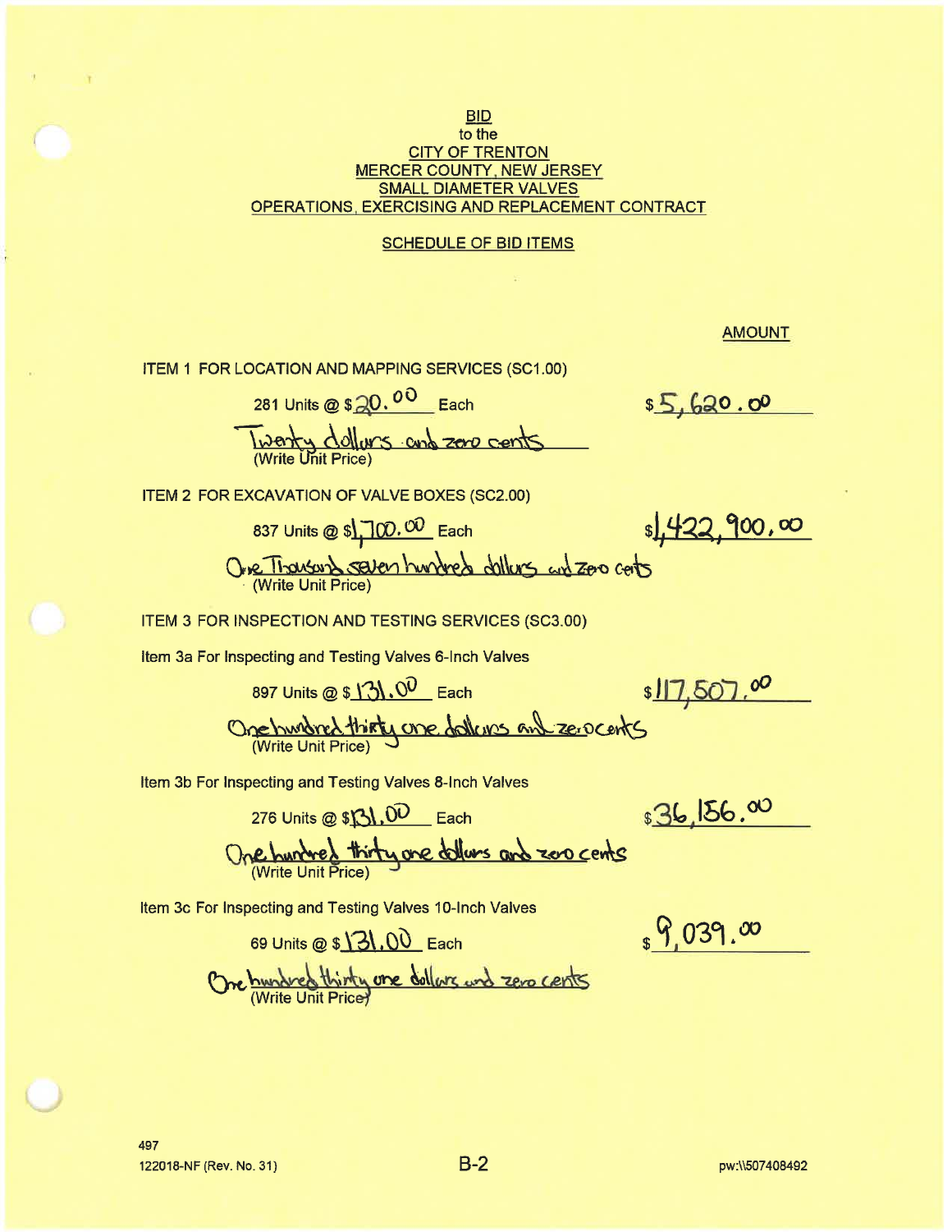### **BID** to the **CITY OF TRENTON MERCER COUNTY, NEW JERSEY SMALL DIAMETER VALVES** OPERATIONS, EXERCISING AND REPLACEMENT CONTRACT

### **SCHEDULE OF BID ITEMS**

**AMOUNT** 

ITEM 1 FOR LOCATION AND MAPPING SERVICES (SC1.00)

281 Units @ \$ 20.00 Each Twenty dollars and zero cents

\$5,620.00

ITEM 2 FOR EXCAVATION OF VALVE BOXES (SC2.00)

837 Units @ \$\, 100.00 Each Ove Thanson Seven hundred dollars and zoo cots

\$1422,900,00

ITEM 3 FOR INSPECTION AND TESTING SERVICES (SC3.00)

Item 3a For Inspecting and Testing Valves 6-Inch Valves

897 Units @ \$ 131.00 Each

276 Units @  $$R_1,00$  Each

\$17,507.00

One hundred thirty one dollars and zero cents

Item 3b For Inspecting and Testing Valves 8-Inch Valves

 $$36,156.00$ 

 $_{s}$  9,039.00

One hundred thirty are dollars and zero cents

Item 3c For Inspecting and Testing Valves 10-Inch Valves

69 Units @ \$ 3, 00 Each One hundred thirty one dollars and zero cents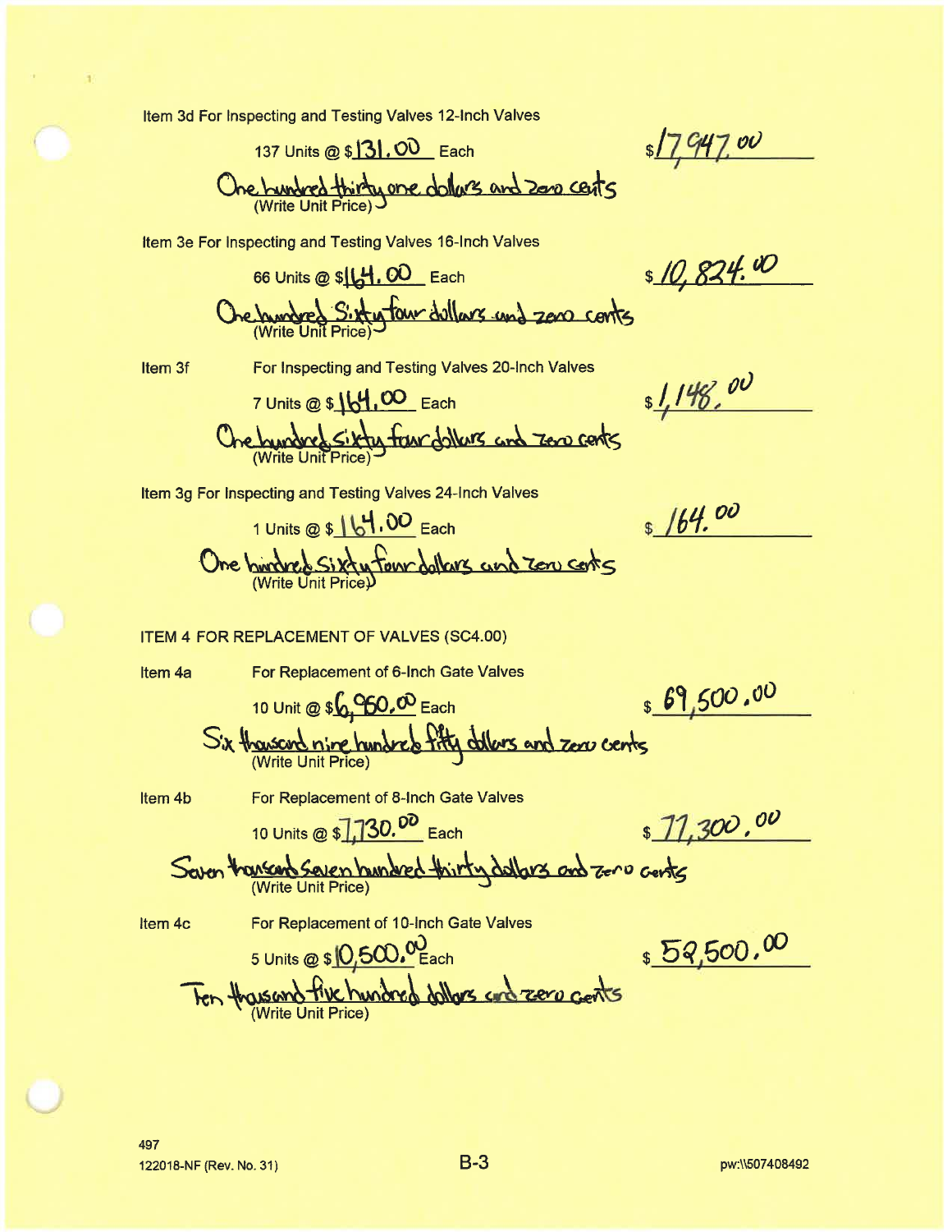Item 3d For Inspecting and Testing Valves 12-Inch Valves

137 Units @ \$131,00 Each

 $7~\rm{ov}$ 

One hundred thirty one dollars and zono cents

Item 3e For Inspecting and Testing Valves 16-Inch Valves

66 Units @ \$14, 00 Each

\$ 10,824.00

 $1,148,00$ 

 $$164.00$ 

One hundred Sixty four dollars and zero conts

Item 3f

For Inspecting and Testing Valves 20-Inch Valves

7 Units @ \$ 164,00 Each Che bundred Sikty framdollars and zero cents

Item 3g For Inspecting and Testing Valves 24-Inch Valves

1 Units @ \$ | 64.00 Each One burdred Sixty four dollars and zon costs

### **ITEM 4 FOR REPLACEMENT OF VALVES (SC4.00)**

Item 4a

For Replacement of 6-Inch Gate Valves

10 Unit @ \$6,960,00 Each

8 69,500.00

Six thousand nine hundred fity dollars and zero cents

Item 4b

10 Units @ \$1,130.00 Each

For Replacement of 8-Inch Gate Valves

 $71,300,00$ 

Seven thansend Seven hundred thirty dallars and zero cents

Item 4c

For Replacement of 10-Inch Gate Valves

\$52,500.00

5 Units @ \$ 0,500.00 Ten thousand five hundred dollars and zero gents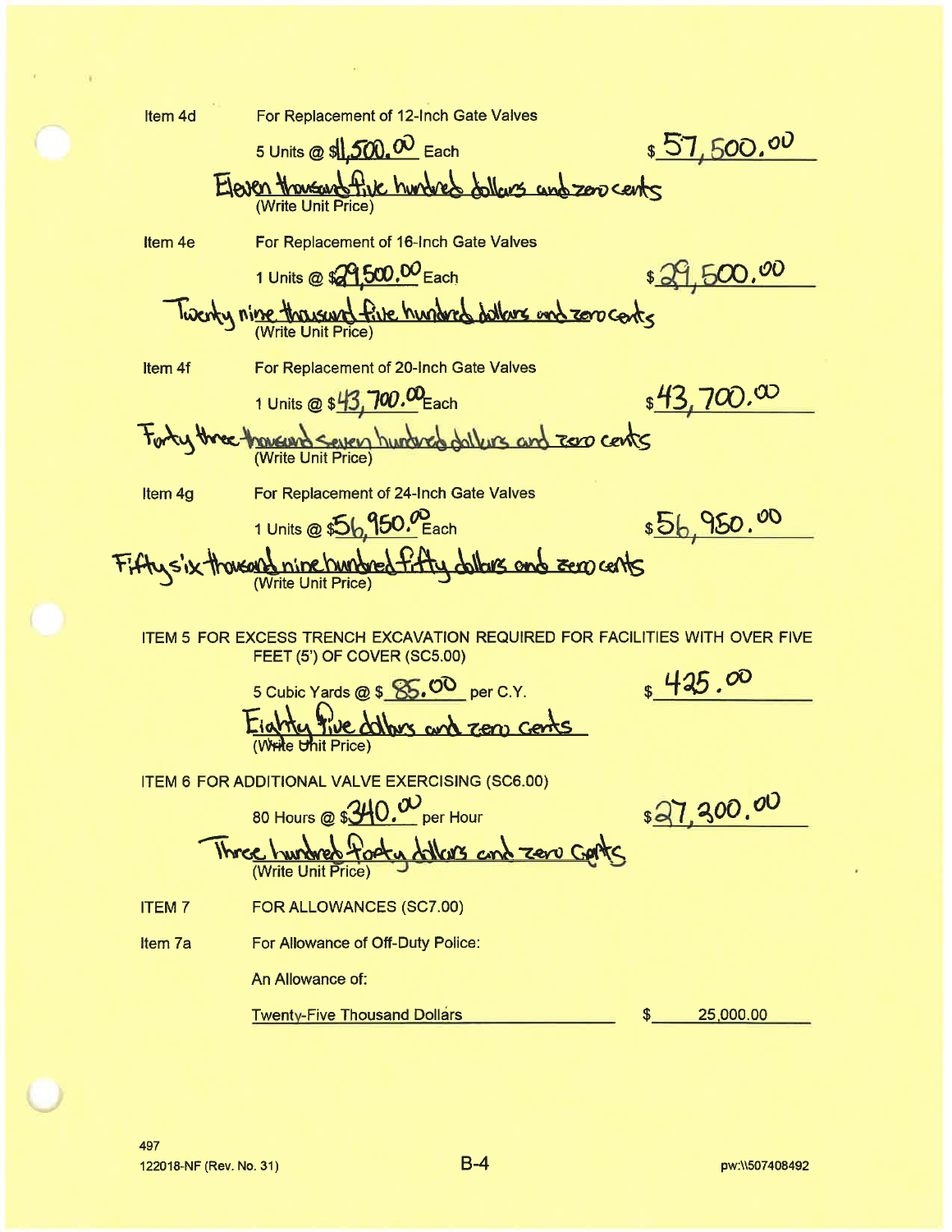Item 4d For Replacement of 12-Inch Gate Valves  $$57,500.00$ 5 Units @ \$1,500.00 Each Eleven thousand five hundred dollars and zero cents For Replacement of 16-Inch Gate Valves Item<sub>4e</sub> \$29,500.00 1 Units @ \$29.500.00 Each Twenty nine thousand five hunderd dollars and zero cents For Replacement of 20-Inch Gate Valves Item<sub>4f</sub>  $$43,700.00$ 1 Units @ \$43, 700.00 Each Forty three thousand seven hundred dailyrs and zero cents For Replacement of 24-Inch Gate Valves Item 4g \$56,950.00 1 Units @ \$56,950.<sup>00</sup> Each Fifty s'ix thousand nine hundred fifty dollars and sero cents ITEM 5 FOR EXCESS TRENCH EXCAVATION REQUIRED FOR FACILITIES WITH OVER FIVE FEET (5') OF COVER (SC5.00)  $$425.00$ 5 Cubic Yards @ \$ 85.00 per C.Y. <u>Eighty five dalbus</u> and zero cents **ITEM 6 FOR ADDITIONAL VALVE EXERCISING (SC6.00)** \$27,300.00 80 Hours @ \$340.00 per Hour Three hundred footy dollars and zero Gorts FOR ALLOWANCES (SC7.00) **ITEM7** For Allowance of Off-Duty Police: Item 7a An Allowance of: **Twenty-Five Thousand Dollars** 25,000.00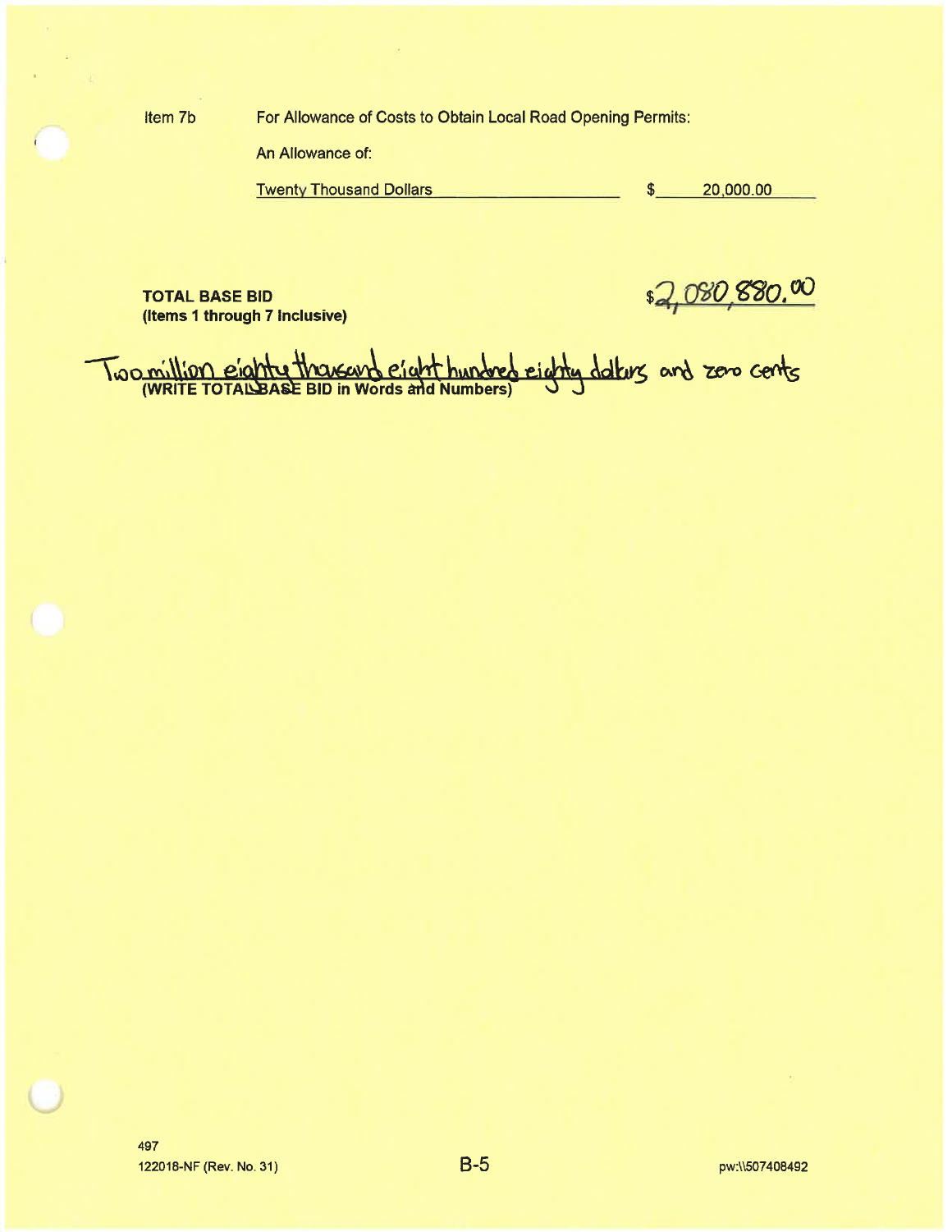Item 7b

For Allowance of Costs to Obtain Local Road Opening Permits:

An Allowance of:

20,000.00 **Twenty Thousand Dollars** \$

TOTAL BASE BID<br>(Items 1 through 7 Inclusive)<br>Two million eighty thousand eight hundred eighty dalars and zero cents